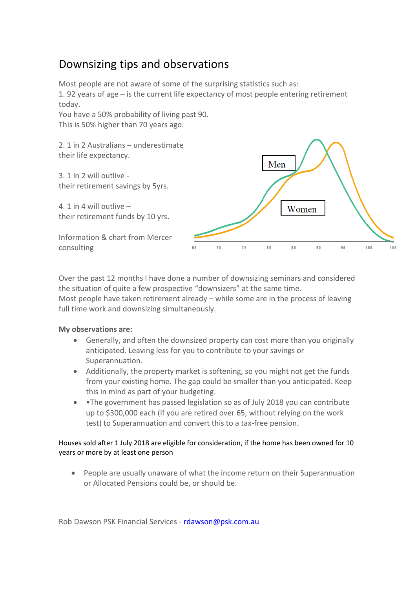## Downsizing tips and observations

Most people are not aware of some of the surprising statistics such as: 1. 92 years of age – is the current life expectancy of most people entering retirement today.

You have a 50% probability of living past 90. This is 50% higher than 70 years ago.

2. 1 in 2 Australians – underestimate their life expectancy.

3. 1 in 2 will outlive their retirement savings by 5yrs.

4. 1 in 4 will outlive – their retirement funds by 10 yrs.

Information & chart from Mercer consulting



Over the past 12 months I have done a number of downsizing seminars and considered the situation of quite a few prospective "downsizers" at the same time.

Most people have taken retirement already – while some are in the process of leaving full time work and downsizing simultaneously.

## **My observations are:**

- Generally, and often the downsized property can cost more than you originally anticipated. Leaving less for you to contribute to your savings or Superannuation.
- Additionally, the property market is softening, so you might not get the funds from your existing home. The gap could be smaller than you anticipated. Keep this in mind as part of your budgeting.
- •The government has passed legislation so as of July 2018 you can contribute up to \$300,000 each (if you are retired over 65, without relying on the work test) to Superannuation and convert this to a tax-free pension.

## Houses sold after 1 July 2018 are eligible for consideration, if the home has been owned for 10 years or more by at least one person

• People are usually unaware of what the income return on their Superannuation or Allocated Pensions could be, or should be.

Rob Dawson PSK Financial Services - rdawson@psk.com.au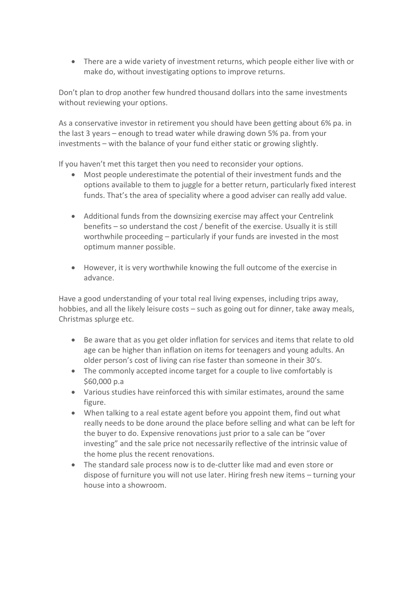• There are a wide variety of investment returns, which people either live with or make do, without investigating options to improve returns.

Don't plan to drop another few hundred thousand dollars into the same investments without reviewing your options.

As a conservative investor in retirement you should have been getting about 6% pa. in the last 3 years – enough to tread water while drawing down 5% pa. from your investments – with the balance of your fund either static or growing slightly.

If you haven't met this target then you need to reconsider your options.

- Most people underestimate the potential of their investment funds and the options available to them to juggle for a better return, particularly fixed interest funds. That's the area of speciality where a good adviser can really add value.
- Additional funds from the downsizing exercise may affect your Centrelink benefits – so understand the cost / benefit of the exercise. Usually it is still worthwhile proceeding – particularly if your funds are invested in the most optimum manner possible.
- However, it is very worthwhile knowing the full outcome of the exercise in advance.

Have a good understanding of your total real living expenses, including trips away, hobbies, and all the likely leisure costs – such as going out for dinner, take away meals, Christmas splurge etc.

- Be aware that as you get older inflation for services and items that relate to old age can be higher than inflation on items for teenagers and young adults. An older person's cost of living can rise faster than someone in their 30's.
- The commonly accepted income target for a couple to live comfortably is \$60,000 p.a
- Various studies have reinforced this with similar estimates, around the same figure.
- When talking to a real estate agent before you appoint them, find out what really needs to be done around the place before selling and what can be left for the buyer to do. Expensive renovations just prior to a sale can be "over investing" and the sale price not necessarily reflective of the intrinsic value of the home plus the recent renovations.
- The standard sale process now is to de-clutter like mad and even store or dispose of furniture you will not use later. Hiring fresh new items – turning your house into a showroom.